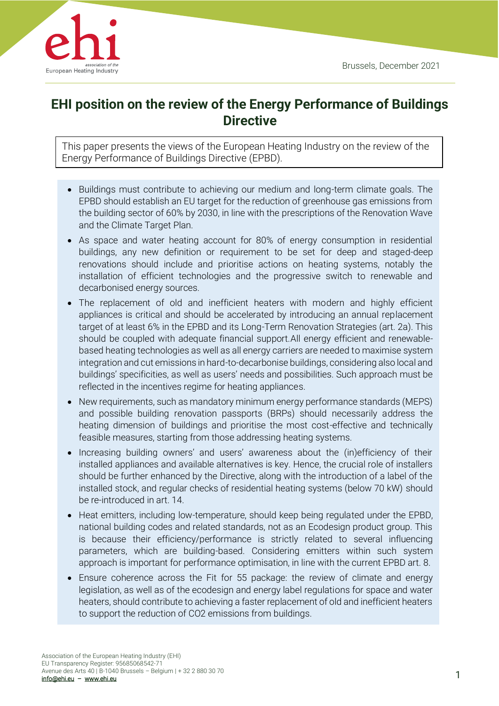

# **EHI position on the review of the Energy Performance of Buildings Directive**

This paper presents the views of the European Heating Industry on the review of the Energy Performance of Buildings Directive (EPBD).

- Buildings must contribute to achieving our medium and long-term climate goals. The EPBD should establish an EU target for the reduction of greenhouse gas emissions from the building sector of 60% by 2030, in line with the prescriptions of the Renovation Wave and the Climate Target Plan.
- As space and water heating account for 80% of energy consumption in residential buildings, any new definition or requirement to be set for deep and staged-deep renovations should include and prioritise actions on heating systems, notably the installation of efficient technologies and the progressive switch to renewable and decarbonised energy sources.
- The replacement of old and inefficient heaters with modern and highly efficient appliances is critical and should be accelerated by introducing an annual replacement target of at least 6% in the EPBD and its Long-Term Renovation Strategies (art. 2a). This should be coupled with adequate financial support.All energy efficient and renewablebased heating technologies as well as all energy carriers are needed to maximise system integration and cut emissions in hard-to-decarbonise buildings, considering also local and buildings' specificities, as well as users' needs and possibilities. Such approach must be reflected in the incentives regime for heating appliances.
- New requirements, such as mandatory minimum energy performance standards (MEPS) and possible building renovation passports (BRPs) should necessarily address the heating dimension of buildings and prioritise the most cost-effective and technically feasible measures, starting from those addressing heating systems.
- Increasing building owners' and users' awareness about the (in)efficiency of their installed appliances and available alternatives is key. Hence, the crucial role of installers should be further enhanced by the Directive, along with the introduction of a label of the installed stock, and regular checks of residential heating systems (below 70 kW) should be re-introduced in art. 14.
- Heat emitters, including low-temperature, should keep being regulated under the EPBD, national building codes and related standards, not as an Ecodesign product group. This is because their efficiency/performance is strictly related to several influencing parameters, which are building-based. Considering emitters within such system approach is important for performance optimisation, in line with the current EPBD art. 8.
- Ensure coherence across the Fit for 55 package: the review of climate and energy legislation, as well as of the ecodesign and energy label regulations for space and water heaters, should contribute to achieving a faster replacement of old and inefficient heaters to support the reduction of CO2 emissions from buildings.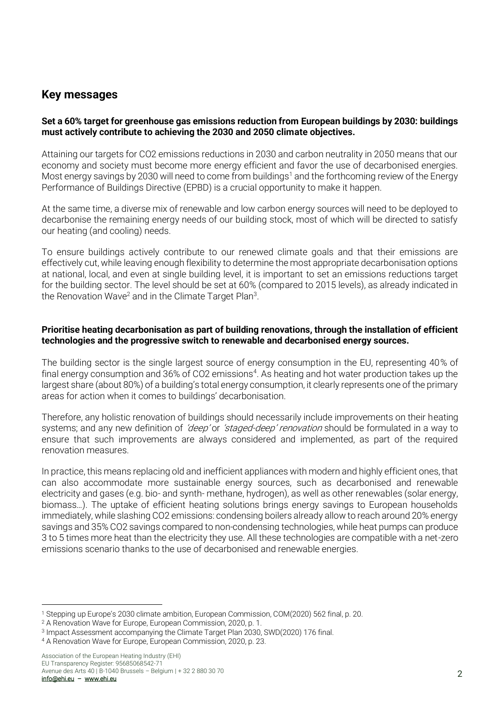# **Key messages**

#### **Set a 60% target for greenhouse gas emissions reduction from European buildings by 2030: buildings must actively contribute to achieving the 2030 and 2050 climate objectives.**

Attaining our targets for CO2 emissions reductions in 2030 and carbon neutrality in 2050 means that our economy and society must become more energy efficient and favor the use of decarbonised energies. Most energy savings by 2030 will need to come from buildings<sup>1</sup> and the forthcoming review of the Energy Performance of Buildings Directive (EPBD) is a crucial opportunity to make it happen.

At the same time, a diverse mix of renewable and low carbon energy sources will need to be deployed to decarbonise the remaining energy needs of our building stock, most of which will be directed to satisfy our heating (and cooling) needs.

To ensure buildings actively contribute to our renewed climate goals and that their emissions are effectively cut, while leaving enough flexibility to determine the most appropriate decarbonisation options at national, local, and even at single building level, it is important to set an emissions reductions target for the building sector. The level should be set at 60% (compared to 2015 levels), as already indicated in the Renovation Wave<sup>2</sup> and in the Climate Target Plan<sup>3</sup>.

#### **Prioritise heating decarbonisation as part of building renovations, through the installation of efficient technologies and the progressive switch to renewable and decarbonised energy sources.**

The building sector is the single largest source of energy consumption in the EU, representing 40% of final energy consumption and 36% of CO2 emissions<sup>4</sup>. As heating and hot water production takes up the largest share (about 80%) of a building's total energy consumption, it clearly represents one of the primary areas for action when it comes to buildings' decarbonisation.

Therefore, any holistic renovation of buildings should necessarily include improvements on their heating systems; and any new definition of 'deep' or 'staged-deep' renovation should be formulated in a way to ensure that such improvements are always considered and implemented, as part of the required renovation measures.

In practice, this means replacing old and inefficient appliances with modern and highly efficient ones, that can also accommodate more sustainable energy sources, such as decarbonised and renewable electricity and gases (e.g. bio- and synth- methane, hydrogen), as well as other renewables (solar energy, biomass…). The uptake of efficient heating solutions brings energy savings to European households immediately, while slashing CO2 emissions: condensing boilers already allow to reach around 20% energy savings and 35% CO2 savings compared to non-condensing technologies, while heat pumps can produce 3 to 5 times more heat than the electricity they use. All these technologies are compatible with a net-zero emissions scenario thanks to the use of decarbonised and renewable energies.

<sup>1</sup> Stepping up Europe's 2030 climate ambition, European Commission, COM(2020) 562 final, p. 20.

<sup>2</sup> A Renovation Wave for Europe, European Commission, 2020, p. 1.

<sup>3</sup> Impact Assessment accompanying the Climate Target Plan 2030, SWD(2020) 176 final.

<sup>4</sup> A Renovation Wave for Europe, European Commission, 2020, p. 23.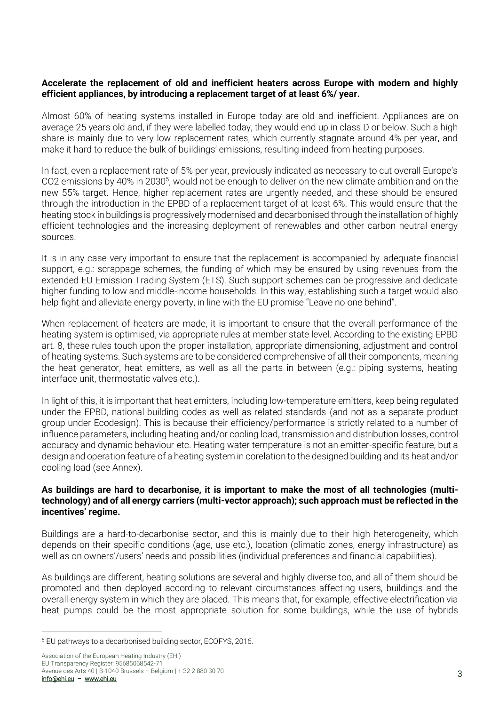#### **Accelerate the replacement of old and inefficient heaters across Europe with modern and highly efficient appliances, by introducing a replacement target of at least 6%/ year.**

Almost 60% of heating systems installed in Europe today are old and inefficient. Appliances are on average 25 years old and, if they were labelled today, they would end up in class D or below. Such a high share is mainly due to very low replacement rates, which currently stagnate around 4% per year, and make it hard to reduce the bulk of buildings' emissions, resulting indeed from heating purposes.

In fact, even a replacement rate of 5% per year, previously indicated as necessary to cut overall Europe's CO2 emissions by 40% in 2030<sup>5</sup>, would not be enough to deliver on the new climate ambition and on the new 55% target. Hence, higher replacement rates are urgently needed, and these should be ensured through the introduction in the EPBD of a replacement target of at least 6%. This would ensure that the heating stock in buildings is progressively modernised and decarbonised through the installation of highly efficient technologies and the increasing deployment of renewables and other carbon neutral energy sources.

It is in any case very important to ensure that the replacement is accompanied by adequate financial support, e.g.: scrappage schemes, the funding of which may be ensured by using revenues from the extended EU Emission Trading System (ETS). Such support schemes can be progressive and dedicate higher funding to low and middle-income households. In this way, establishing such a target would also help fight and alleviate energy poverty, in line with the EU promise "Leave no one behind".

When replacement of heaters are made, it is important to ensure that the overall performance of the heating system is optimised, via appropriate rules at member state level. According to the existing EPBD art. 8, these rules touch upon the proper installation, appropriate dimensioning, adjustment and control of heating systems. Such systems are to be considered comprehensive of all their components, meaning the heat generator, heat emitters, as well as all the parts in between (e.g.: piping systems, heating interface unit, thermostatic valves etc.).

In light of this, it is important that heat emitters, including low-temperature emitters, keep being regulated under the EPBD, national building codes as well as related standards (and not as a separate product group under Ecodesign). This is because their efficiency/performance is strictly related to a number of influence parameters, including heating and/or cooling load, transmission and distribution losses, control accuracy and dynamic behaviour etc. Heating water temperature is not an emitter-specific feature, but a design and operation feature of a heating system in corelation to the designed building and its heat and/or cooling load (see Annex).

#### **As buildings are hard to decarbonise, it is important to make the most of all technologies (multitechnology) and of all energy carriers (multi-vector approach); such approach must be reflected in the incentives' regime.**

Buildings are a hard-to-decarbonise sector, and this is mainly due to their high heterogeneity, which depends on their specific conditions (age, use etc.), location (climatic zones, energy infrastructure) as well as on owners'/users' needs and possibilities (individual preferences and financial capabilities).

As buildings are different, heating solutions are several and highly diverse too, and all of them should be promoted and then deployed according to relevant circumstances affecting users, buildings and the overall energy system in which they are placed. This means that, for example, effective electrification via heat pumps could be the most appropriate solution for some buildings, while the use of hybrids

<sup>5</sup> EU pathways to a decarbonised building sector, ECOFYS, 2016.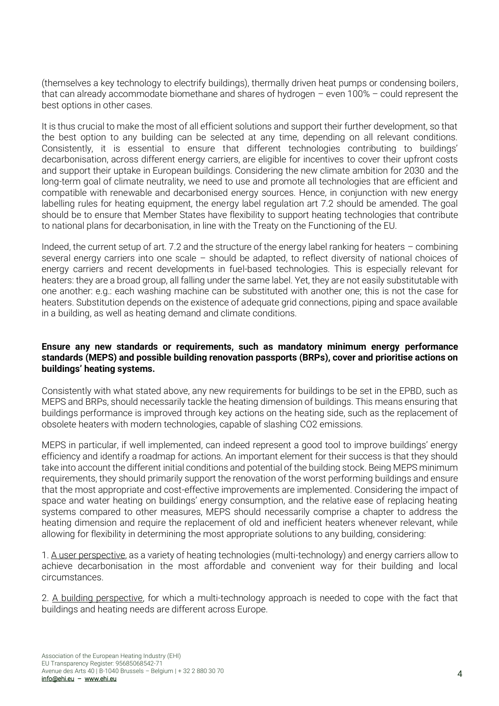(themselves a key technology to electrify buildings), thermally driven heat pumps or condensing boilers, that can already accommodate biomethane and shares of hydrogen – even 100% – could represent the best options in other cases.

It is thus crucial to make the most of all efficient solutions and support their further development, so that the best option to any building can be selected at any time, depending on all relevant conditions. Consistently, it is essential to ensure that different technologies contributing to buildings' decarbonisation, across different energy carriers, are eligible for incentives to cover their upfront costs and support their uptake in European buildings. Considering the new climate ambition for 2030 and the long-term goal of climate neutrality, we need to use and promote all technologies that are efficient and compatible with renewable and decarbonised energy sources. Hence, in conjunction with new energy labelling rules for heating equipment, the energy label regulation art 7.2 should be amended. The goal should be to ensure that Member States have flexibility to support heating technologies that contribute to national plans for decarbonisation, in line with the Treaty on the Functioning of the EU.

Indeed, the current setup of art. 7.2 and the structure of the energy label ranking for heaters – combining several energy carriers into one scale – should be adapted, to reflect diversity of national choices of energy carriers and recent developments in fuel-based technologies. This is especially relevant for heaters: they are a broad group, all falling under the same label. Yet, they are not easily substitutable with one another: e.g.: each washing machine can be substituted with another one; this is not the case for heaters. Substitution depends on the existence of adequate grid connections, piping and space available in a building, as well as heating demand and climate conditions.

#### **Ensure any new standards or requirements, such as mandatory minimum energy performance standards (MEPS) and possible building renovation passports (BRPs), cover and prioritise actions on buildings' heating systems.**

Consistently with what stated above, any new requirements for buildings to be set in the EPBD, such as MEPS and BRPs, should necessarily tackle the heating dimension of buildings. This means ensuring that buildings performance is improved through key actions on the heating side, such as the replacement of obsolete heaters with modern technologies, capable of slashing CO2 emissions.

MEPS in particular, if well implemented, can indeed represent a good tool to improve buildings' energy efficiency and identify a roadmap for actions. An important element for their success is that they should take into account the different initial conditions and potential of the building stock. Being MEPS minimum requirements, they should primarily support the renovation of the worst performing buildings and ensure that the most appropriate and cost-effective improvements are implemented. Considering the impact of space and water heating on buildings' energy consumption, and the relative ease of replacing heating systems compared to other measures, MEPS should necessarily comprise a chapter to address the heating dimension and require the replacement of old and inefficient heaters whenever relevant, while allowing for flexibility in determining the most appropriate solutions to any building, considering:

1. A user perspective, as a variety of heating technologies (multi-technology) and energy carriers allow to achieve decarbonisation in the most affordable and convenient way for their building and local circumstances.

2. A building perspective, for which a multi-technology approach is needed to cope with the fact that buildings and heating needs are different across Europe.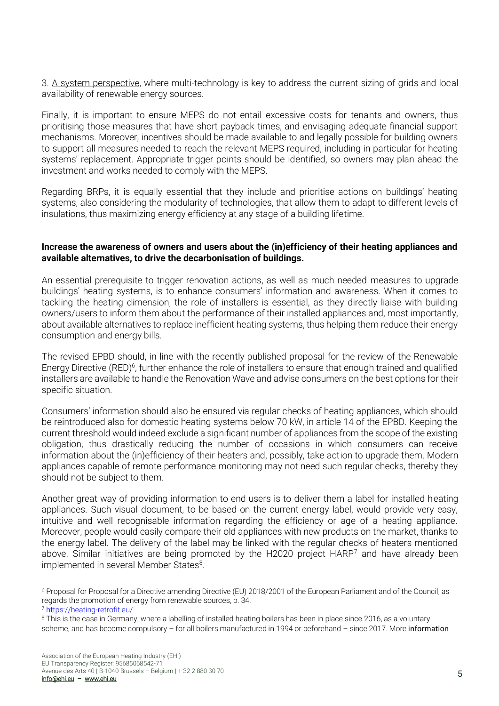3. A system perspective, where multi-technology is key to address the current sizing of grids and local availability of renewable energy sources.

Finally, it is important to ensure MEPS do not entail excessive costs for tenants and owners, thus prioritising those measures that have short payback times, and envisaging adequate financial support mechanisms. Moreover, incentives should be made available to and legally possible for building owners to support all measures needed to reach the relevant MEPS required, including in particular for heating systems' replacement. Appropriate trigger points should be identified, so owners may plan ahead the investment and works needed to comply with the MEPS.

Regarding BRPs, it is equally essential that they include and prioritise actions on buildings' heating systems, also considering the modularity of technologies, that allow them to adapt to different levels of insulations, thus maximizing energy efficiency at any stage of a building lifetime.

#### **Increase the awareness of owners and users about the (in)efficiency of their heating appliances and available alternatives, to drive the decarbonisation of buildings.**

An essential prerequisite to trigger renovation actions, as well as much needed measures to upgrade buildings' heating systems, is to enhance consumers' information and awareness. When it comes to tackling the heating dimension, the role of installers is essential, as they directly liaise with building owners/users to inform them about the performance of their installed appliances and, most importantly, about available alternatives to replace inefficient heating systems, thus helping them reduce their energy consumption and energy bills.

The revised EPBD should, in line with the recently published proposal for the review of the Renewable Energy Directive (RED)<sup>6</sup>, further enhance the role of installers to ensure that enough trained and qualified installers are available to handle the Renovation Wave and advise consumers on the best options for their specific situation.

Consumers' information should also be ensured via regular checks of heating appliances, which should be reintroduced also for domestic heating systems below 70 kW, in article 14 of the EPBD. Keeping the current threshold would indeed exclude a significant number of appliances from the scope of the existing obligation, thus drastically reducing the number of occasions in which consumers can receive information about the (in)efficiency of their heaters and, possibly, take action to upgrade them. Modern appliances capable of remote performance monitoring may not need such regular checks, thereby they should not be subject to them.

Another great way of providing information to end users is to deliver them a label for installed heating appliances. Such visual document, to be based on the current energy label, would provide very easy, intuitive and well recognisable information regarding the efficiency or age of a heating appliance. Moreover, people would easily compare their old appliances with new products on the market, thanks to the energy label. The delivery of the label may be linked with the regular checks of heaters mentioned above. Similar initiatives are being promoted by the H2020 project HARP<sup>7</sup> and have already been implemented in several Member States<sup>8</sup>.

<sup>6</sup> Proposal for Proposal for a Directive amending Directive (EU) 2018/2001 of the European Parliament and of the Council, as regards the promotion of energy from renewable sources, p. 34.

<sup>7</sup> <https://heating-retrofit.eu/>

<sup>8</sup> This is the case in Germany, where a labelling of installed heating boilers has been in place since 2016, as a voluntary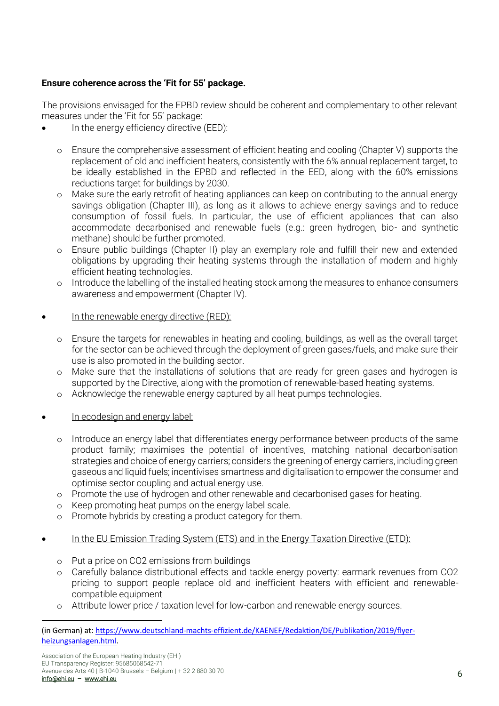## **Ensure coherence across the 'Fit for 55' package.**

The provisions envisaged for the EPBD review should be coherent and complementary to other relevant measures under the 'Fit for 55' package:

- In the energy efficiency directive  $(FFD)^T$ 
	- o Ensure the comprehensive assessment of efficient heating and cooling (Chapter V) supports the replacement of old and inefficient heaters, consistently with the 6% annual replacement target, to be ideally established in the EPBD and reflected in the EED, along with the 60% emissions reductions target for buildings by 2030.
	- o Make sure the early retrofit of heating appliances can keep on contributing to the annual energy savings obligation (Chapter III), as long as it allows to achieve energy savings and to reduce consumption of fossil fuels. In particular, the use of efficient appliances that can also accommodate decarbonised and renewable fuels (e.g.: green hydrogen, bio- and synthetic methane) should be further promoted.
	- o Ensure public buildings (Chapter II) play an exemplary role and fulfill their new and extended obligations by upgrading their heating systems through the installation of modern and highly efficient heating technologies.
	- o Introduce the labelling of the installed heating stock among the measures to enhance consumers awareness and empowerment (Chapter IV).
- In the renewable energy directive (RED):
	- o Ensure the targets for renewables in heating and cooling, buildings, as well as the overall target for the sector can be achieved through the deployment of green gases/fuels, and make sure their use is also promoted in the building sector.
	- o Make sure that the installations of solutions that are ready for green gases and hydrogen is supported by the Directive, along with the promotion of renewable-based heating systems.
	- o Acknowledge the renewable energy captured by all heat pumps technologies.
- In ecodesign and energy label:
	- o Introduce an energy label that differentiates energy performance between products of the same product family; maximises the potential of incentives, matching national decarbonisation strategies and choice of energy carriers; considers the greening of energy carriers, including green gaseous and liquid fuels; incentivises smartness and digitalisation to empower the consumer and optimise sector coupling and actual energy use.
	- o Promote the use of hydrogen and other renewable and decarbonised gases for heating.
	- o Keep promoting heat pumps on the energy label scale.
	- o Promote hybrids by creating a product category for them.
- In the EU Emission Trading System (ETS) and in the Energy Taxation Directive (ETD):
	- o Put a price on CO2 emissions from buildings
	- o Carefully balance distributional effects and tackle energy poverty: earmark revenues from CO2 pricing to support people replace old and inefficient heaters with efficient and renewablecompatible equipment
	- o Attribute lower price / taxation level for low-carbon and renewable energy sources.

<sup>(</sup>in German) at[: https://www.deutschland-machts-effizient.de/KAENEF/Redaktion/DE/Publikation/2019/flyer](https://www.deutschland-machts-effizient.de/KAENEF/Redaktion/DE/Publikation/2019/flyer-heizungsanlagen.html)[heizungsanlagen.html.](https://www.deutschland-machts-effizient.de/KAENEF/Redaktion/DE/Publikation/2019/flyer-heizungsanlagen.html)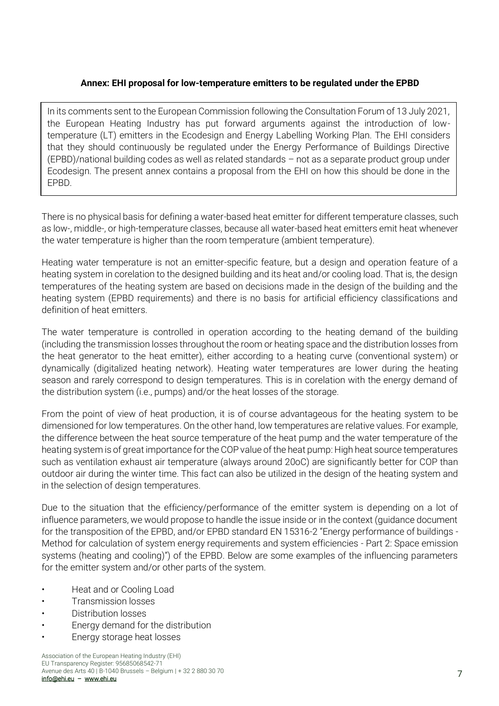### **Annex: EHI proposal for low-temperature emitters to be regulated under the EPBD**

In its comments sent to the European Commission following the Consultation Forum of 13 July 2021, the European Heating Industry has put forward arguments against the introduction of lowtemperature (LT) emitters in the Ecodesign and Energy Labelling Working Plan. The EHI considers that they should continuously be regulated under the Energy Performance of Buildings Directive (EPBD)/national building codes as well as related standards – not as a separate product group under Ecodesign. The present annex contains a proposal from the EHI on how this should be done in the EPBD.

There is no physical basis for defining a water-based heat emitter for different temperature classes, such as low-, middle-, or high-temperature classes, because all water-based heat emitters emit heat whenever the water temperature is higher than the room temperature (ambient temperature).

Heating water temperature is not an emitter-specific feature, but a design and operation feature of a heating system in corelation to the designed building and its heat and/or cooling load. That is, the design temperatures of the heating system are based on decisions made in the design of the building and the heating system (EPBD requirements) and there is no basis for artificial efficiency classifications and definition of heat emitters.

The water temperature is controlled in operation according to the heating demand of the building (including the transmission losses throughout the room or heating space and the distribution losses from the heat generator to the heat emitter), either according to a heating curve (conventional system) or dynamically (digitalized heating network). Heating water temperatures are lower during the heating season and rarely correspond to design temperatures. This is in corelation with the energy demand of the distribution system (i.e., pumps) and/or the heat losses of the storage.

From the point of view of heat production, it is of course advantageous for the heating system to be dimensioned for low temperatures. On the other hand, low temperatures are relative values. For example, the difference between the heat source temperature of the heat pump and the water temperature of the heating system is of great importance for the COP value of the heat pump: High heat source temperatures such as ventilation exhaust air temperature (always around 20oC) are significantly better for COP than outdoor air during the winter time. This fact can also be utilized in the design of the heating system and in the selection of design temperatures.

Due to the situation that the efficiency/performance of the emitter system is depending on a lot of influence parameters, we would propose to handle the issue inside or in the context (guidance document for the transposition of the EPBD, and/or EPBD standard EN 15316-2 "Energy performance of buildings - Method for calculation of system energy requirements and system efficiencies - Part 2: Space emission systems (heating and cooling)") of the EPBD. Below are some examples of the influencing parameters for the emitter system and/or other parts of the system.

- Heat and or Cooling Load
- Transmission losses
- Distribution losses
- Energy demand for the distribution
- Energy storage heat losses